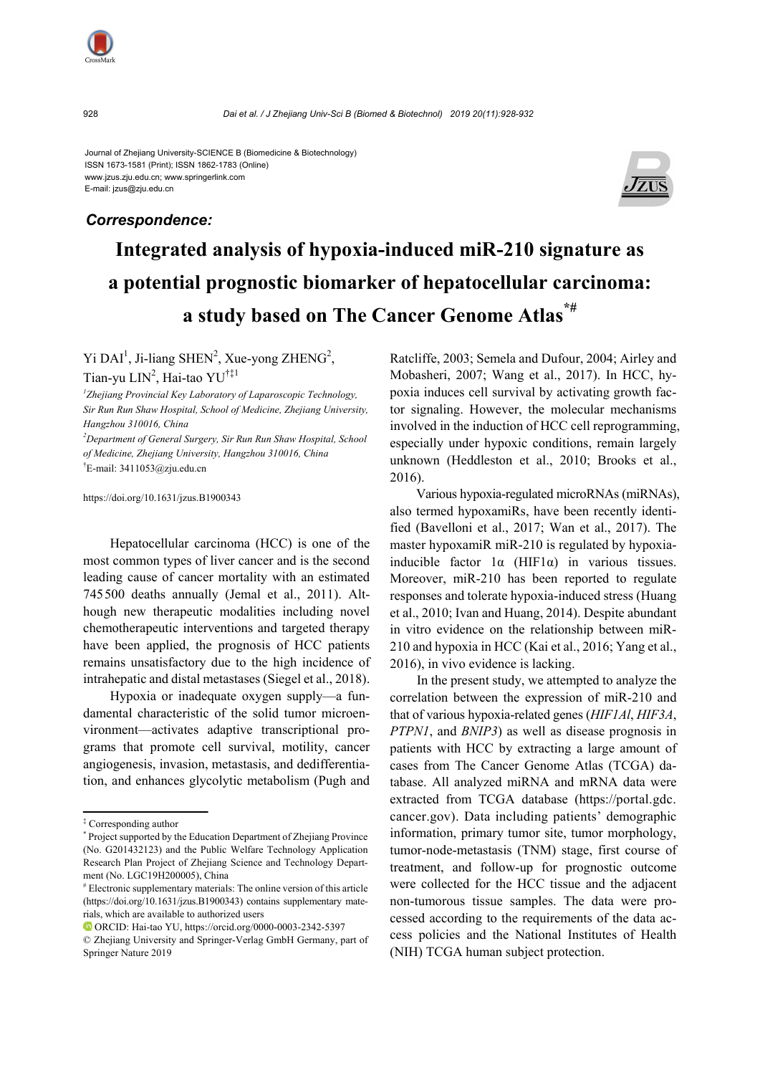

Journal of Zhejiang University-SCIENCE B (Biomedicine & Biotechnology) ISSN 1673-1581 (Print); ISSN 1862-1783 (Online) www.jzus.zju.edu.cn; www.springerlink.com E-mail: jzus@zju.edu.cn

# *Correspondence:*



# **Integrated analysis of hypoxia-induced miR-210 signature as a potential prognostic biomarker of hepatocellular carcinoma: a study based on The Cancer Genome Atlas\*#**

 $Yi$  DAI<sup>1</sup>, Ji-liang SHEN<sup>2</sup>, Xue-yong ZHENG<sup>2</sup>,

Tian-yu LIN<sup>2</sup>, Hai-tao YU<sup>†‡1</sup>

*1 Zhejiang Provincial Key Laboratory of Laparoscopic Technology, Sir Run Run Shaw Hospital, School of Medicine, Zhejiang University, Hangzhou 310016, China* 

*2 Department of General Surgery, Sir Run Run Shaw Hospital, School of Medicine, Zhejiang University, Hangzhou 310016, China*  † E-mail: 3411053@zju.edu.cn

https://doi.org/10.1631/jzus.B1900343

Hepatocellular carcinoma (HCC) is one of the most common types of liver cancer and is the second leading cause of cancer mortality with an estimated 745500 deaths annually (Jemal et al., 2011). Although new therapeutic modalities including novel chemotherapeutic interventions and targeted therapy have been applied, the prognosis of HCC patients remains unsatisfactory due to the high incidence of intrahepatic and distal metastases (Siegel et al., 2018).

Hypoxia or inadequate oxygen supply—a fundamental characteristic of the solid tumor microenvironment—activates adaptive transcriptional programs that promote cell survival, motility, cancer angiogenesis, invasion, metastasis, and dedifferentiation, and enhances glycolytic metabolism (Pugh and Ratcliffe, 2003; Semela and Dufour, 2004; Airley and Mobasheri, 2007; Wang et al., 2017). In HCC, hypoxia induces cell survival by activating growth factor signaling. However, the molecular mechanisms involved in the induction of HCC cell reprogramming, especially under hypoxic conditions, remain largely unknown (Heddleston et al., 2010; Brooks et al., 2016).

Various hypoxia-regulated microRNAs (miRNAs), also termed hypoxamiRs, have been recently identified (Bavelloni et al., 2017; Wan et al., 2017). The master hypoxamiR miR-210 is regulated by hypoxiainducible factor  $1\alpha$  (HIF1 $\alpha$ ) in various tissues. Moreover, miR-210 has been reported to regulate responses and tolerate hypoxia-induced stress (Huang et al., 2010; Ivan and Huang, 2014). Despite abundant in vitro evidence on the relationship between miR-210 and hypoxia in HCC (Kai et al., 2016; Yang et al., 2016), in vivo evidence is lacking.

In the present study, we attempted to analyze the correlation between the expression of miR-210 and that of various hypoxia-related genes (*HIF1Al*, *HIF3A*, *PTPN1*, and *BNIP3*) as well as disease prognosis in patients with HCC by extracting a large amount of cases from The Cancer Genome Atlas (TCGA) database. All analyzed miRNA and mRNA data were extracted from TCGA database (https://portal.gdc. cancer.gov). Data including patients' demographic information, primary tumor site, tumor morphology, tumor-node-metastasis (TNM) stage, first course of treatment, and follow-up for prognostic outcome were collected for the HCC tissue and the adjacent non-tumorous tissue samples. The data were processed according to the requirements of the data access policies and the National Institutes of Health (NIH) TCGA human subject protection.

<sup>‡</sup> Corresponding author

<sup>\*</sup> Project supported by the Education Department of Zhejiang Province (No. G201432123) and the Public Welfare Technology Application Research Plan Project of Zhejiang Science and Technology Department (No. LGC19H200005), China

<sup>#</sup> Electronic supplementary materials: The online version of this article (https://doi.org/10.1631/jzus.B1900343) contains supplementary materials, which are available to authorized users

ORCID: Hai-tao YU, https://orcid.org/0000-0003-2342-5397

<sup>©</sup> Zhejiang University and Springer-Verlag GmbH Germany, part of Springer Nature 2019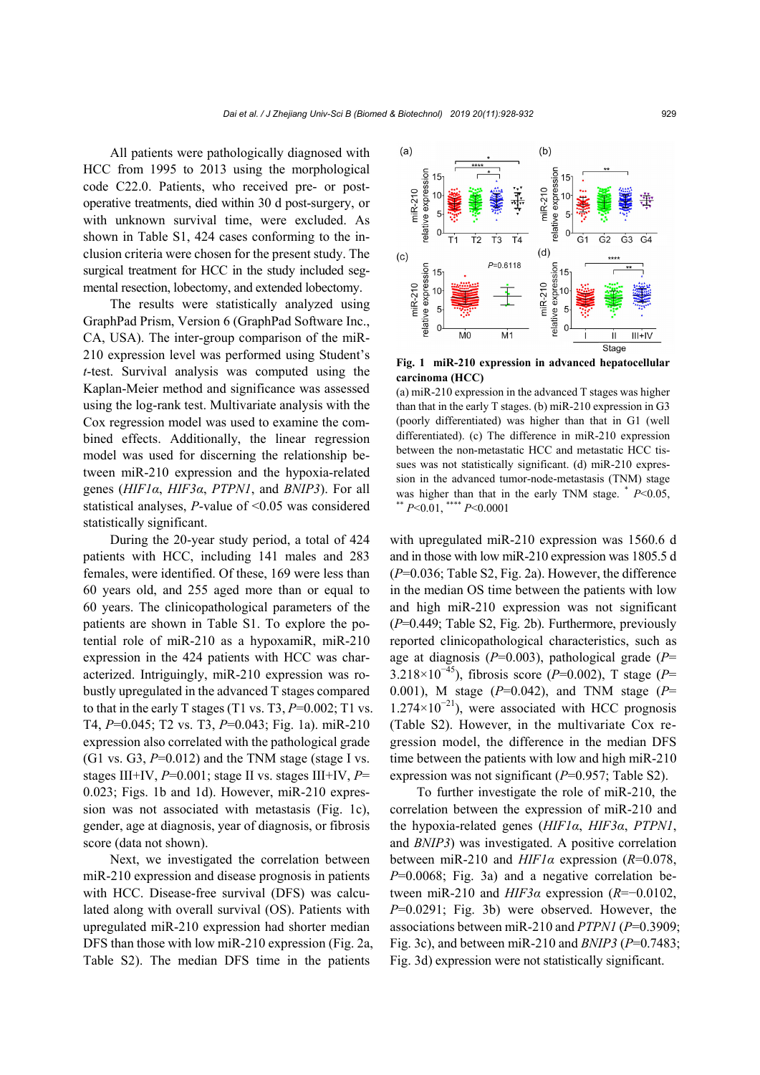All patients were pathologically diagnosed with HCC from 1995 to 2013 using the morphological code C22.0. Patients, who received pre- or postoperative treatments, died within 30 d post-surgery, or with unknown survival time, were excluded. As shown in Table S1, 424 cases conforming to the inclusion criteria were chosen for the present study. The surgical treatment for HCC in the study included segmental resection, lobectomy, and extended lobectomy.

The results were statistically analyzed using GraphPad Prism, Version 6 (GraphPad Software Inc., CA, USA). The inter-group comparison of the miR-210 expression level was performed using Student's *t*-test. Survival analysis was computed using the Kaplan-Meier method and significance was assessed using the log-rank test. Multivariate analysis with the Cox regression model was used to examine the combined effects. Additionally, the linear regression model was used for discerning the relationship between miR-210 expression and the hypoxia-related genes (*HIF1α*, *HIF3α*, *PTPN1*, and *BNIP3*). For all statistical analyses, *P*-value of <0.05 was considered statistically significant.

During the 20-year study period, a total of 424 patients with HCC, including 141 males and 283 females, were identified. Of these, 169 were less than 60 years old, and 255 aged more than or equal to 60 years. The clinicopathological parameters of the patients are shown in Table S1. To explore the potential role of miR-210 as a hypoxamiR, miR-210 expression in the 424 patients with HCC was characterized. Intriguingly, miR-210 expression was robustly upregulated in the advanced T stages compared to that in the early T stages (T1 vs. T3,  $P=0.002$ ; T1 vs. T4, *P*=0.045; T2 vs. T3, *P*=0.043; Fig. 1a). miR-210 expression also correlated with the pathological grade  $(G1 \text{ vs. } G3, P=0.012)$  and the TNM stage (stage I vs. stages III+IV, *P*=0.001; stage II vs. stages III+IV, *P*= 0.023; Figs. 1b and 1d). However, miR-210 expression was not associated with metastasis (Fig. 1c), gender, age at diagnosis, year of diagnosis, or fibrosis score (data not shown).

Next, we investigated the correlation between miR-210 expression and disease prognosis in patients with HCC. Disease-free survival (DFS) was calculated along with overall survival (OS). Patients with upregulated miR-210 expression had shorter median DFS than those with low miR-210 expression (Fig. 2a, Table S2). The median DFS time in the patients



**Fig. 1 miR-210 expression in advanced hepatocellular carcinoma (HCC)** 

(a) miR-210 expression in the advanced T stages was higher than that in the early T stages. (b) miR-210 expression in G3 (poorly differentiated) was higher than that in G1 (well differentiated). (c) The difference in miR-210 expression between the non-metastatic HCC and metastatic HCC tissues was not statistically significant. (d) miR-210 expression in the advanced tumor-node-metastasis (TNM) stage was higher than that in the early TNM stage. \*  $P<0.05$ , \*\*\*  $P<0.01$ , \*\*\*\*  $P<0.0001$ 

with upregulated miR-210 expression was 1560.6 d and in those with low miR-210 expression was 1805.5 d (*P*=0.036; Table S2, Fig. 2a). However, the difference in the median OS time between the patients with low and high miR-210 expression was not significant (*P*=0.449; Table S2, Fig. 2b). Furthermore, previously reported clinicopathological characteristics, such as age at diagnosis (*P*=0.003), pathological grade (*P*= 3.218×10<sup>−</sup>45), fibrosis score (*P*=0.002), T stage (*P*= 0.001), M stage (*P*=0.042), and TNM stage (*P*=  $1.274\times10^{-21}$ ), were associated with HCC prognosis (Table S2). However, in the multivariate Cox regression model, the difference in the median DFS time between the patients with low and high miR-210 expression was not significant (*P*=0.957; Table S2).

To further investigate the role of miR-210, the correlation between the expression of miR-210 and the hypoxia-related genes (*HIF1α*, *HIF3α*, *PTPN1*, and *BNIP3*) was investigated. A positive correlation between miR-210 and *HIF1α* expression (*R*=0.078, *P*=0.0068; Fig. 3a) and a negative correlation between miR-210 and *HIF3α* expression (*R*=−0.0102, *P*=0.0291; Fig. 3b) were observed. However, the associations between miR-210 and *PTPN1* (*P*=0.3909; Fig. 3c), and between miR-210 and *BNIP3* (*P*=0.7483; Fig. 3d) expression were not statistically significant.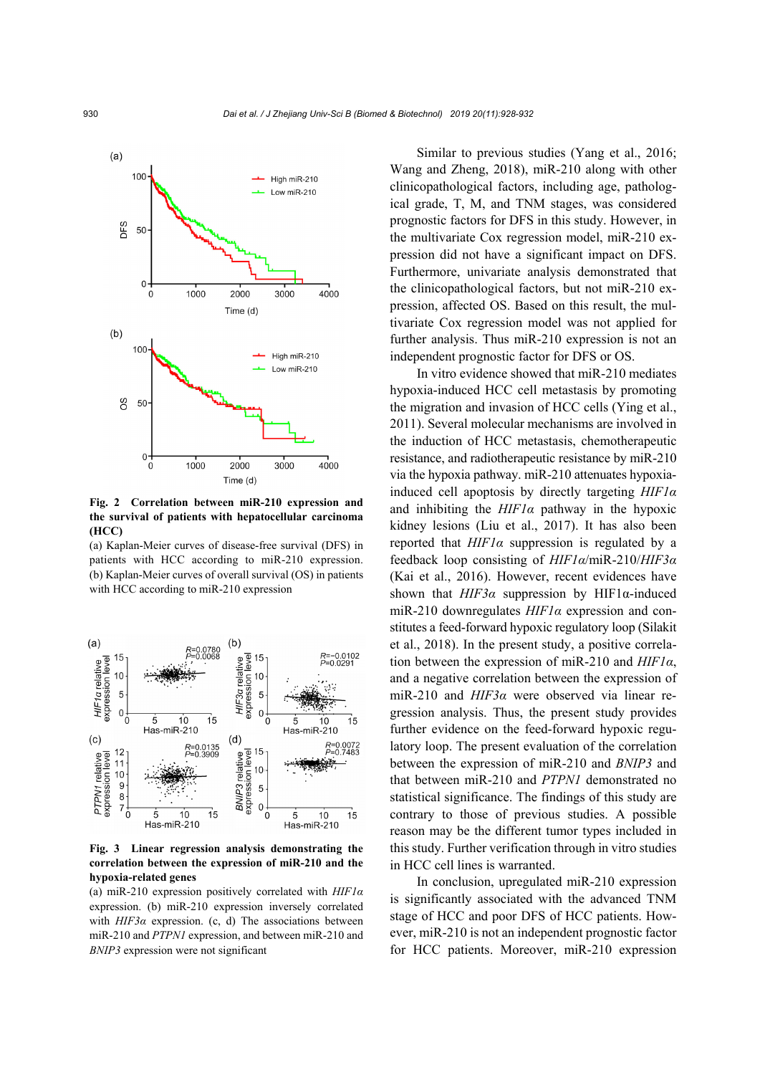

**Fig. 2 Correlation between miR-210 expression and the survival of patients with hepatocellular carcinoma (HCC)** 

(a) Kaplan-Meier curves of disease-free survival (DFS) in patients with HCC according to miR-210 expression. (b) Kaplan-Meier curves of overall survival (OS) in patients with HCC according to miR-210 expression



**Fig. 3 Linear regression analysis demonstrating the correlation between the expression of miR-210 and the hypoxia-related genes** 

(a) miR-210 expression positively correlated with *HIF1α* expression. (b) miR-210 expression inversely correlated with  $HIF3\alpha$  expression. (c, d) The associations between miR-210 and *PTPN1* expression, and between miR-210 and *BNIP3* expression were not significant

Similar to previous studies (Yang et al., 2016; Wang and Zheng, 2018), miR-210 along with other clinicopathological factors, including age, pathological grade, T, M, and TNM stages, was considered prognostic factors for DFS in this study. However, in the multivariate Cox regression model, miR-210 expression did not have a significant impact on DFS. Furthermore, univariate analysis demonstrated that the clinicopathological factors, but not miR-210 expression, affected OS. Based on this result, the multivariate Cox regression model was not applied for further analysis. Thus miR-210 expression is not an independent prognostic factor for DFS or OS.

In vitro evidence showed that miR-210 mediates hypoxia-induced HCC cell metastasis by promoting the migration and invasion of HCC cells (Ying et al., 2011). Several molecular mechanisms are involved in the induction of HCC metastasis, chemotherapeutic resistance, and radiotherapeutic resistance by miR-210 via the hypoxia pathway. miR-210 attenuates hypoxiainduced cell apoptosis by directly targeting *HIF1α* and inhibiting the *HIF1α* pathway in the hypoxic kidney lesions (Liu et al., 2017). It has also been reported that *HIF1α* suppression is regulated by a feedback loop consisting of *HIF1α*/miR-210/*HIF3α* (Kai et al., 2016). However, recent evidences have shown that *HIF3α* suppression by HIF1α-induced miR-210 downregulates *HIF1α* expression and constitutes a feed-forward hypoxic regulatory loop (Silakit et al., 2018). In the present study, a positive correlation between the expression of miR-210 and *HIF1α*, and a negative correlation between the expression of miR-210 and *HIF3α* were observed via linear regression analysis. Thus, the present study provides further evidence on the feed-forward hypoxic regulatory loop. The present evaluation of the correlation between the expression of miR-210 and *BNIP3* and that between miR-210 and *PTPN1* demonstrated no statistical significance. The findings of this study are contrary to those of previous studies. A possible reason may be the different tumor types included in this study. Further verification through in vitro studies in HCC cell lines is warranted.

In conclusion, upregulated miR-210 expression is significantly associated with the advanced TNM stage of HCC and poor DFS of HCC patients. However, miR-210 is not an independent prognostic factor for HCC patients. Moreover, miR-210 expression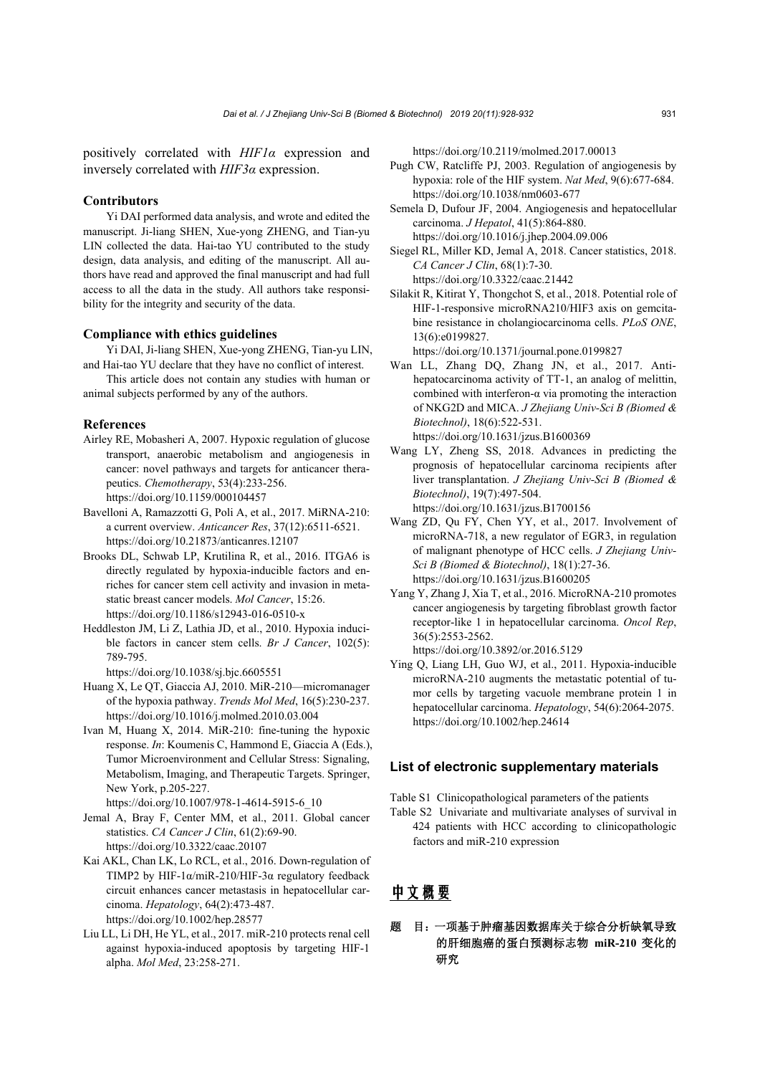positively correlated with *HIF1α* expression and inversely correlated with *HIF3α* expression.

### **Contributors**

Yi DAI performed data analysis, and wrote and edited the manuscript. Ji-liang SHEN, Xue-yong ZHENG, and Tian-yu LIN collected the data. Hai-tao YU contributed to the study design, data analysis, and editing of the manuscript. All authors have read and approved the final manuscript and had full access to all the data in the study. All authors take responsibility for the integrity and security of the data.

#### **Compliance with ethics guidelines**

- Yi DAI, Ji-liang SHEN, Xue-yong ZHENG, Tian-yu LIN, and Hai-tao YU declare that they have no conflict of interest.
- This article does not contain any studies with human or animal subjects performed by any of the authors.

#### **References**

- Airley RE, Mobasheri A, 2007. Hypoxic regulation of glucose transport, anaerobic metabolism and angiogenesis in cancer: novel pathways and targets for anticancer therapeutics. *Chemotherapy*, 53(4):233-256. https://doi.org/10.1159/000104457
- Bavelloni A, Ramazzotti G, Poli A, et al., 2017. MiRNA-210: a current overview. *Anticancer Res*, 37(12):6511-6521. https://doi.org/10.21873/anticanres.12107
- Brooks DL, Schwab LP, Krutilina R, et al., 2016. ITGA6 is directly regulated by hypoxia-inducible factors and enriches for cancer stem cell activity and invasion in metastatic breast cancer models. *Mol Cancer*, 15:26. https://doi.org/10.1186/s12943-016-0510-x
- Heddleston JM, Li Z, Lathia JD, et al., 2010. Hypoxia inducible factors in cancer stem cells. *Br J Cancer*, 102(5): 789-795.

https://doi.org/10.1038/sj.bjc.6605551

- Huang X, Le QT, Giaccia AJ, 2010. MiR-210—micromanager of the hypoxia pathway. *Trends Mol Med*, 16(5):230-237. https://doi.org/10.1016/j.molmed.2010.03.004
- Ivan M, Huang X, 2014. MiR-210: fine-tuning the hypoxic response. *In*: Koumenis C, Hammond E, Giaccia A (Eds.), Tumor Microenvironment and Cellular Stress: Signaling, Metabolism, Imaging, and Therapeutic Targets. Springer, New York, p.205-227.

https://doi.org/10.1007/978-1-4614-5915-6\_10

- Jemal A, Bray F, Center MM, et al., 2011. Global cancer statistics. *CA Cancer J Clin*, 61(2):69-90. https://doi.org/10.3322/caac.20107
- Kai AKL, Chan LK, Lo RCL, et al., 2016. Down-regulation of TIMP2 by HIF-1α/miR-210/HIF-3α regulatory feedback circuit enhances cancer metastasis in hepatocellular carcinoma. *Hepatology*, 64(2):473-487. https://doi.org/10.1002/hep.28577
- Liu LL, Li DH, He YL, et al., 2017. miR-210 protects renal cell against hypoxia-induced apoptosis by targeting HIF-1 alpha. *Mol Med*, 23:258-271.

https://doi.org/10.2119/molmed.2017.00013

- Pugh CW, Ratcliffe PJ, 2003. Regulation of angiogenesis by hypoxia: role of the HIF system. *Nat Med*, 9(6):677-684. https://doi.org/10.1038/nm0603-677
- Semela D, Dufour JF, 2004. Angiogenesis and hepatocellular carcinoma. *J Hepatol*, 41(5):864-880. https://doi.org/10.1016/j.jhep.2004.09.006
- Siegel RL, Miller KD, Jemal A, 2018. Cancer statistics, 2018. *CA Cancer J Clin*, 68(1):7-30. https://doi.org/10.3322/caac.21442
- Silakit R, Kitirat Y, Thongchot S, et al., 2018. Potential role of HIF-1-responsive microRNA210/HIF3 axis on gemcitabine resistance in cholangiocarcinoma cells. *PLoS ONE*, 13(6):e0199827.

https://doi.org/10.1371/journal.pone.0199827

- Wan LL, Zhang DQ, Zhang JN, et al., 2017. Antihepatocarcinoma activity of TT-1, an analog of melittin, combined with interferon-α via promoting the interaction of NKG2D and MICA. *J Zhejiang Univ-Sci B (Biomed & Biotechnol)*, 18(6):522-531. https://doi.org/10.1631/jzus.B1600369
- Wang LY, Zheng SS, 2018. Advances in predicting the prognosis of hepatocellular carcinoma recipients after liver transplantation. *J Zhejiang Univ-Sci B (Biomed & Biotechnol)*, 19(7):497-504.

https://doi.org/10.1631/jzus.B1700156 Wang ZD, Qu FY, Chen YY, et al., 2017. Involvement of

- microRNA-718, a new regulator of EGR3, in regulation of malignant phenotype of HCC cells. *J Zhejiang Univ-Sci B (Biomed & Biotechnol)*, 18(1):27-36. https://doi.org/10.1631/jzus.B1600205
- Yang Y, Zhang J, Xia T, et al., 2016. MicroRNA-210 promotes cancer angiogenesis by targeting fibroblast growth factor receptor-like 1 in hepatocellular carcinoma. *Oncol Rep*, 36(5):2553-2562.

https://doi.org/10.3892/or.2016.5129

Ying Q, Liang LH, Guo WJ, et al., 2011. Hypoxia-inducible microRNA-210 augments the metastatic potential of tumor cells by targeting vacuole membrane protein 1 in hepatocellular carcinoma. *Hepatology*, 54(6):2064-2075. https://doi.org/10.1002/hep.24614

## **List of electronic supplementary materials**

Table S1 Clinicopathological parameters of the patients

Table S2 Univariate and multivariate analyses of survival in 424 patients with HCC according to clinicopathologic factors and miR-210 expression

# 中文概要

# 题 目:一项基于肿瘤基因数据库关于综合分析缺氧导致 的肝细胞癌的蛋白预测标志物 **miR-210** 变化的 研究